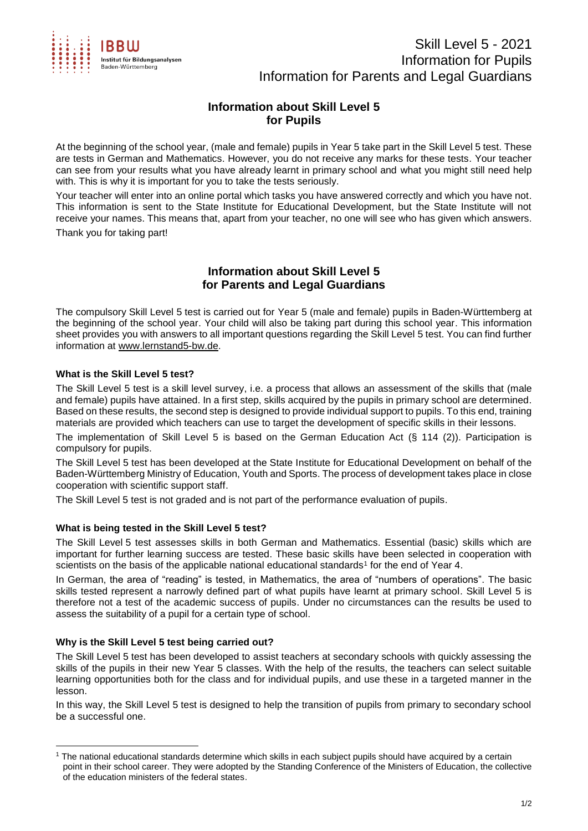

# Skill Level 5 - 2021 Information for Pupils Information for Parents and Legal Guardians

# **Information about Skill Level 5 for Pupils**

At the beginning of the school year, (male and female) pupils in Year 5 take part in the Skill Level 5 test. These are tests in German and Mathematics. However, you do not receive any marks for these tests. Your teacher can see from your results what you have already learnt in primary school and what you might still need help with. This is why it is important for you to take the tests seriously.

Your teacher will enter into an online portal which tasks you have answered correctly and which you have not. This information is sent to the State Institute for Educational Development, but the State Institute will not receive your names. This means that, apart from your teacher, no one will see who has given which answers. Thank you for taking part!

> **Information about Skill Level 5 for Parents and Legal Guardians**

The compulsory Skill Level 5 test is carried out for Year 5 (male and female) pupils in Baden-Württemberg at the beginning of the school year. Your child will also be taking part during this school year. This information sheet provides you with answers to all important questions regarding the Skill Level 5 test. You can find further information at [www.lernstand5-bw.de.](http://www.lernstand5-bw.de/)

# **What is the Skill Level 5 test?**

The Skill Level 5 test is a skill level survey, i.e. a process that allows an assessment of the skills that (male and female) pupils have attained. In a first step, skills acquired by the pupils in primary school are determined. Based on these results, the second step is designed to provide individual support to pupils. To this end, training materials are provided which teachers can use to target the development of specific skills in their lessons.

The implementation of Skill Level 5 is based on the German Education Act (§ 114 (2)). Participation is compulsory for pupils.

The Skill Level 5 test has been developed at the State Institute for Educational Development on behalf of the Baden-Württemberg Ministry of Education, Youth and Sports. The process of development takes place in close cooperation with scientific support staff.

The Skill Level 5 test is not graded and is not part of the performance evaluation of pupils.

## **What is being tested in the Skill Level 5 test?**

The Skill Level 5 test assesses skills in both German and Mathematics. Essential (basic) skills which are important for further learning success are tested. These basic skills have been selected in cooperation with scientists on the basis of the applicable national educational standards<sup>1</sup> for the end of Year 4.

In German, the area of "reading" is tested, in Mathematics, the area of "numbers of operations". The basic skills tested represent a narrowly defined part of what pupils have learnt at primary school. Skill Level 5 is therefore not a test of the academic success of pupils. Under no circumstances can the results be used to assess the suitability of a pupil for a certain type of school.

## **Why is the Skill Level 5 test being carried out?**

1

The Skill Level 5 test has been developed to assist teachers at secondary schools with quickly assessing the skills of the pupils in their new Year 5 classes. With the help of the results, the teachers can select suitable learning opportunities both for the class and for individual pupils, and use these in a targeted manner in the lesson.

In this way, the Skill Level 5 test is designed to help the transition of pupils from primary to secondary school be a successful one.

<sup>1</sup> The national educational standards determine which skills in each subject pupils should have acquired by a certain point in their school career. They were adopted by the Standing Conference of the Ministers of Education, the collective of the education ministers of the federal states.